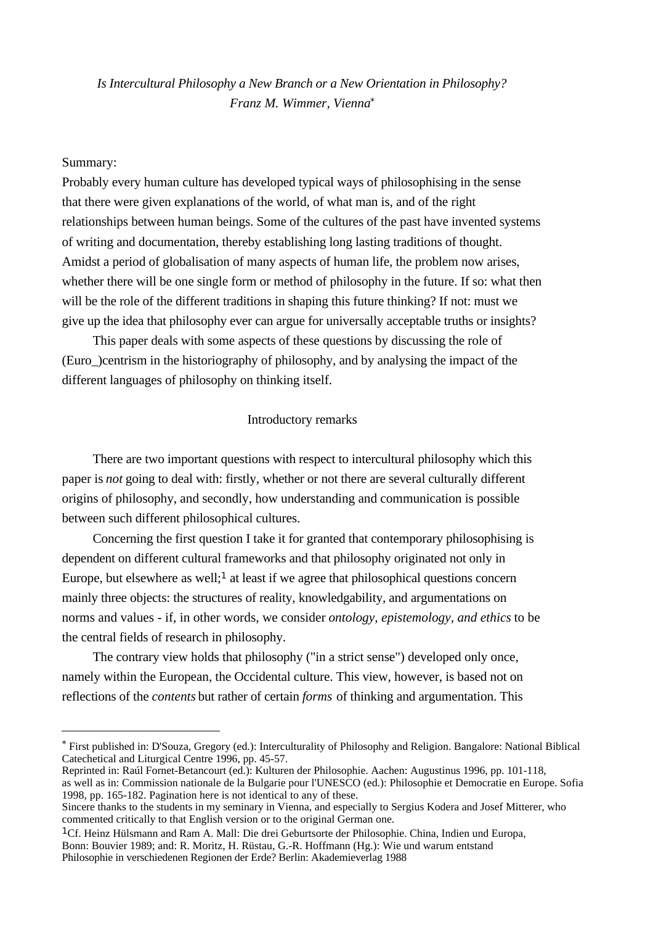*Is Intercultural Philosophy a New Branch or a New Orientation in Philosophy? Franz M. Wimmer, Vienna*\*

# Summary:

 $\overline{a}$ 

Probably every human culture has developed typical ways of philosophising in the sense that there were given explanations of the world, of what man is, and of the right relationships between human beings. Some of the cultures of the past have invented systems of writing and documentation, thereby establishing long lasting traditions of thought. Amidst a period of globalisation of many aspects of human life, the problem now arises, whether there will be one single form or method of philosophy in the future. If so: what then will be the role of the different traditions in shaping this future thinking? If not: must we give up the idea that philosophy ever can argue for universally acceptable truths or insights?

This paper deals with some aspects of these questions by discussing the role of (Euro\_)centrism in the historiography of philosophy, and by analysing the impact of the different languages of philosophy on thinking itself.

#### Introductory remarks

There are two important questions with respect to intercultural philosophy which this paper is *not* going to deal with: firstly, whether or not there are several culturally different origins of philosophy, and secondly, how understanding and communication is possible between such different philosophical cultures.

Concerning the first question I take it for granted that contemporary philosophising is dependent on different cultural frameworks and that philosophy originated not only in Europe, but elsewhere as well;<sup>1</sup> at least if we agree that philosophical questions concern mainly three objects: the structures of reality, knowledgability, and argumentations on norms and values - if, in other words, we consider *ontology, epistemology, and ethics* to be the central fields of research in philosophy.

The contrary view holds that philosophy ("in a strict sense") developed only once, namely within the European, the Occidental culture. This view, however, is based not on reflections of the *contents* but rather of certain *forms* of thinking and argumentation. This

<sup>\*</sup> First published in: D'Souza, Gregory (ed.): Interculturality of Philosophy and Religion. Bangalore: National Biblical Catechetical and Liturgical Centre 1996, pp. 45-57.

Reprinted in: Raúl Fornet-Betancourt (ed.): Kulturen der Philosophie. Aachen: Augustinus 1996, pp. 101-118, as well as in: Commission nationale de la Bulgarie pour l'UNESCO (ed.): Philosophie et Democratie en Europe. Sofia 1998, pp. 165-182. Pagination here is not identical to any of these.

Sincere thanks to the students in my seminary in Vienna, and especially to Sergius Kodera and Josef Mitterer, who commented critically to that English version or to the original German one.

<sup>1</sup>Cf. Heinz Hülsmann and Ram A. Mall: Die drei Geburtsorte der Philosophie. China, Indien und Europa, Bonn: Bouvier 1989; and: R. Moritz, H. Rüstau, G.-R. Hoffmann (Hg.): Wie und warum entstand Philosophie in verschiedenen Regionen der Erde? Berlin: Akademieverlag 1988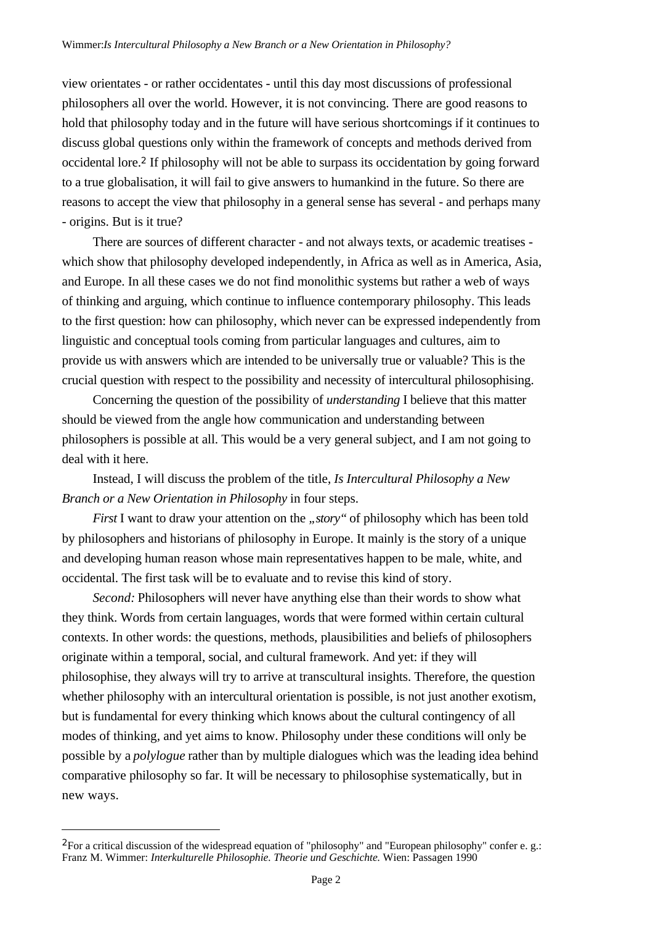view orientates - or rather occidentates - until this day most discussions of professional philosophers all over the world. However, it is not convincing. There are good reasons to hold that philosophy today and in the future will have serious shortcomings if it continues to discuss global questions only within the framework of concepts and methods derived from occidental lore.<sup>2</sup> If philosophy will not be able to surpass its occidentation by going forward to a true globalisation, it will fail to give answers to humankind in the future. So there are reasons to accept the view that philosophy in a general sense has several - and perhaps many - origins. But is it true?

There are sources of different character - and not always texts, or academic treatises which show that philosophy developed independently, in Africa as well as in America, Asia, and Europe. In all these cases we do not find monolithic systems but rather a web of ways of thinking and arguing, which continue to influence contemporary philosophy. This leads to the first question: how can philosophy, which never can be expressed independently from linguistic and conceptual tools coming from particular languages and cultures, aim to provide us with answers which are intended to be universally true or valuable? This is the crucial question with respect to the possibility and necessity of intercultural philosophising.

Concerning the question of the possibility of *understanding* I believe that this matter should be viewed from the angle how communication and understanding between philosophers is possible at all. This would be a very general subject, and I am not going to deal with it here.

Instead, I will discuss the problem of the title, *Is Intercultural Philosophy a New Branch or a New Orientation in Philosophy* in four steps.

*First* I want to draw your attention on the "*story*" of philosophy which has been told by philosophers and historians of philosophy in Europe. It mainly is the story of a unique and developing human reason whose main representatives happen to be male, white, and occidental. The first task will be to evaluate and to revise this kind of story.

*Second:* Philosophers will never have anything else than their words to show what they think. Words from certain languages, words that were formed within certain cultural contexts. In other words: the questions, methods, plausibilities and beliefs of philosophers originate within a temporal, social, and cultural framework. And yet: if they will philosophise, they always will try to arrive at transcultural insights. Therefore, the question whether philosophy with an intercultural orientation is possible, is not just another exotism, but is fundamental for every thinking which knows about the cultural contingency of all modes of thinking, and yet aims to know. Philosophy under these conditions will only be possible by a *polylogue* rather than by multiple dialogues which was the leading idea behind comparative philosophy so far. It will be necessary to philosophise systematically, but in new ways.

l,

<sup>2</sup>For a critical discussion of the widespread equation of "philosophy" and "European philosophy" confer e. g.: Franz M. Wimmer: *Interkulturelle Philosophie. Theorie und Geschichte.* Wien: Passagen 1990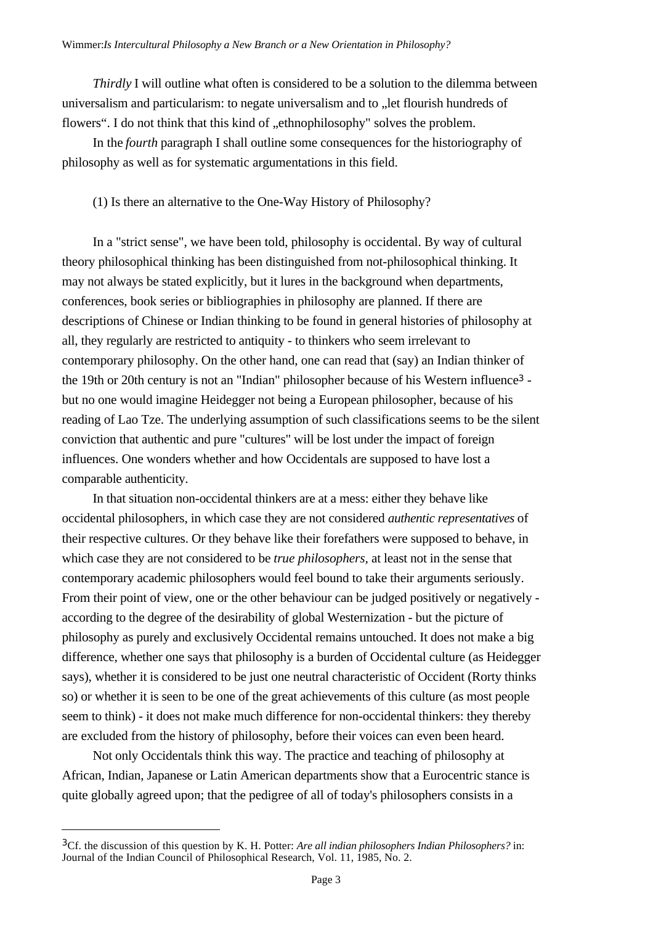*Thirdly* I will outline what often is considered to be a solution to the dilemma between universalism and particularism: to negate universalism and to "let flourish hundreds of flowers". I do not think that this kind of "ethnophilosophy" solves the problem.

In the *fourth* paragraph I shall outline some consequences for the historiography of philosophy as well as for systematic argumentations in this field.

## (1) Is there an alternative to the One-Way History of Philosophy?

In a "strict sense", we have been told, philosophy is occidental. By way of cultural theory philosophical thinking has been distinguished from not-philosophical thinking. It may not always be stated explicitly, but it lures in the background when departments, conferences, book series or bibliographies in philosophy are planned. If there are descriptions of Chinese or Indian thinking to be found in general histories of philosophy at all, they regularly are restricted to antiquity - to thinkers who seem irrelevant to contemporary philosophy. On the other hand, one can read that (say) an Indian thinker of the 19th or 20th century is not an "Indian" philosopher because of his Western influence<sup>3</sup> but no one would imagine Heidegger not being a European philosopher, because of his reading of Lao Tze. The underlying assumption of such classifications seems to be the silent conviction that authentic and pure "cultures" will be lost under the impact of foreign influences. One wonders whether and how Occidentals are supposed to have lost a comparable authenticity.

In that situation non-occidental thinkers are at a mess: either they behave like occidental philosophers, in which case they are not considered *authentic representatives* of their respective cultures. Or they behave like their forefathers were supposed to behave, in which case they are not considered to be *true philosophers,* at least not in the sense that contemporary academic philosophers would feel bound to take their arguments seriously. From their point of view, one or the other behaviour can be judged positively or negatively according to the degree of the desirability of global Westernization - but the picture of philosophy as purely and exclusively Occidental remains untouched. It does not make a big difference, whether one says that philosophy is a burden of Occidental culture (as Heidegger says), whether it is considered to be just one neutral characteristic of Occident (Rorty thinks so) or whether it is seen to be one of the great achievements of this culture (as most people seem to think) - it does not make much difference for non-occidental thinkers: they thereby are excluded from the history of philosophy, before their voices can even been heard.

Not only Occidentals think this way. The practice and teaching of philosophy at African, Indian, Japanese or Latin American departments show that a Eurocentric stance is quite globally agreed upon; that the pedigree of all of today's philosophers consists in a

l,

<sup>3</sup>Cf. the discussion of this question by K. H. Potter: *Are all indian philosophers Indian Philosophers?* in: Journal of the Indian Council of Philosophical Research, Vol. 11, 1985, No. 2.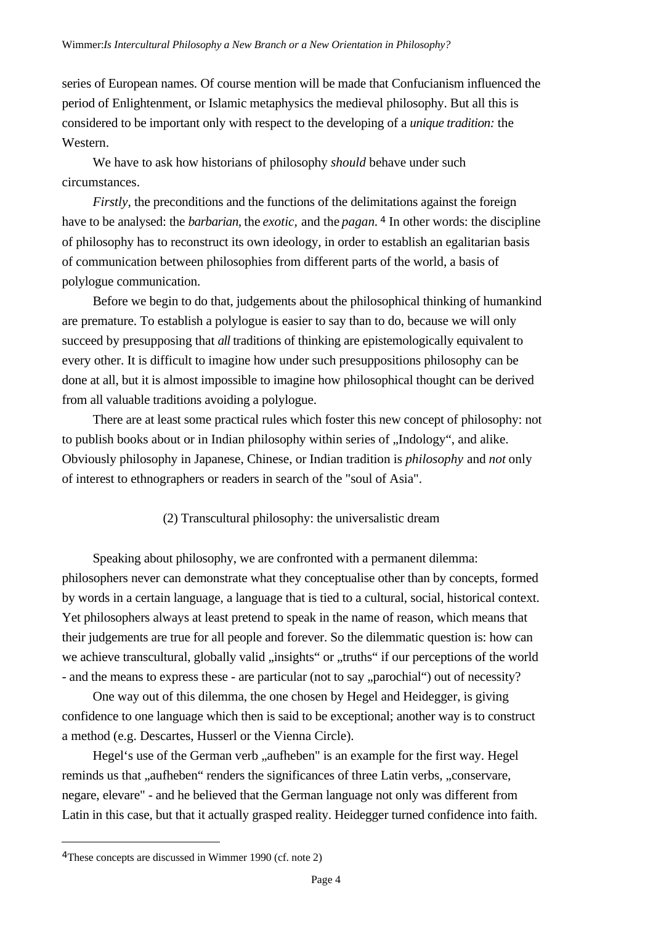series of European names. Of course mention will be made that Confucianism influenced the period of Enlightenment, or Islamic metaphysics the medieval philosophy. But all this is considered to be important only with respect to the developing of a *unique tradition:* the Western.

We have to ask how historians of philosophy *should* behave under such circumstances.

*Firstly,* the preconditions and the functions of the delimitations against the foreign have to be analysed: the *barbarian,* the *exotic,* and the *pagan.* <sup>4</sup> In other words: the discipline of philosophy has to reconstruct its own ideology, in order to establish an egalitarian basis of communication between philosophies from different parts of the world, a basis of polylogue communication.

Before we begin to do that, judgements about the philosophical thinking of humankind are premature. To establish a polylogue is easier to say than to do, because we will only succeed by presupposing that *all* traditions of thinking are epistemologically equivalent to every other. It is difficult to imagine how under such presuppositions philosophy can be done at all, but it is almost impossible to imagine how philosophical thought can be derived from all valuable traditions avoiding a polylogue.

There are at least some practical rules which foster this new concept of philosophy: not to publish books about or in Indian philosophy within series of "Indology", and alike. Obviously philosophy in Japanese, Chinese, or Indian tradition is *philosophy* and *not* only of interest to ethnographers or readers in search of the "soul of Asia".

# (2) Transcultural philosophy: the universalistic dream

Speaking about philosophy, we are confronted with a permanent dilemma: philosophers never can demonstrate what they conceptualise other than by concepts, formed by words in a certain language, a language that is tied to a cultural, social, historical context. Yet philosophers always at least pretend to speak in the name of reason, which means that their judgements are true for all people and forever. So the dilemmatic question is: how can we achieve transcultural, globally valid "insights" or "truths" if our perceptions of the world - and the means to express these - are particular (not to say "parochial") out of necessity?

One way out of this dilemma, the one chosen by Hegel and Heidegger, is giving confidence to one language which then is said to be exceptional; another way is to construct a method (e.g. Descartes, Husserl or the Vienna Circle).

Hegel's use of the German verb "aufheben" is an example for the first way. Hegel reminds us that "aufheben" renders the significances of three Latin verbs, "conservare," negare, elevare" - and he believed that the German language not only was different from Latin in this case, but that it actually grasped reality. Heidegger turned confidence into faith.

<sup>4</sup>These concepts are discussed in Wimmer 1990 (cf. note 2)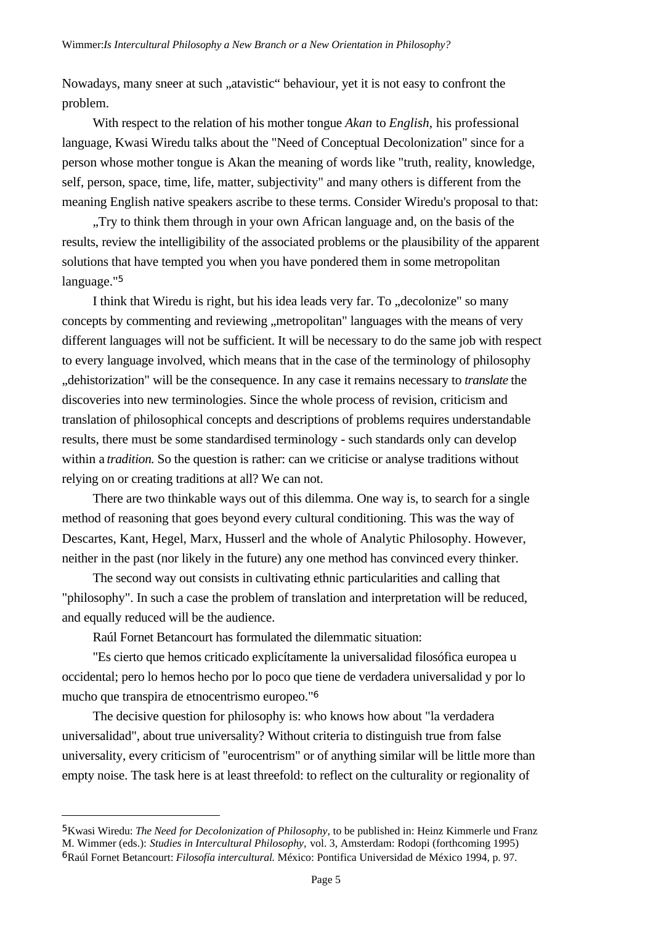Nowadays, many sneer at such "atavistic" behaviour, yet it is not easy to confront the problem.

With respect to the relation of his mother tongue *Akan* to *English,* his professional language, Kwasi Wiredu talks about the "Need of Conceptual Decolonization" since for a person whose mother tongue is Akan the meaning of words like "truth, reality, knowledge, self, person, space, time, life, matter, subjectivity" and many others is different from the meaning English native speakers ascribe to these terms. Consider Wiredu's proposal to that:

"Try to think them through in your own African language and, on the basis of the results, review the intelligibility of the associated problems or the plausibility of the apparent solutions that have tempted you when you have pondered them in some metropolitan language."<sup>5</sup>

I think that Wiredu is right, but his idea leads very far. To "decolonize" so many concepts by commenting and reviewing , metropolitan" languages with the means of very different languages will not be sufficient. It will be necessary to do the same job with respect to every language involved, which means that in the case of the terminology of philosophy "dehistorization" will be the consequence. In any case it remains necessary to *translate* the discoveries into new terminologies. Since the whole process of revision, criticism and translation of philosophical concepts and descriptions of problems requires understandable results, there must be some standardised terminology - such standards only can develop within a *tradition.* So the question is rather: can we criticise or analyse traditions without relying on or creating traditions at all? We can not.

There are two thinkable ways out of this dilemma. One way is, to search for a single method of reasoning that goes beyond every cultural conditioning. This was the way of Descartes, Kant, Hegel, Marx, Husserl and the whole of Analytic Philosophy. However, neither in the past (nor likely in the future) any one method has convinced every thinker.

The second way out consists in cultivating ethnic particularities and calling that "philosophy". In such a case the problem of translation and interpretation will be reduced, and equally reduced will be the audience.

Raúl Fornet Betancourt has formulated the dilemmatic situation:

1

"Es cierto que hemos criticado explicítamente la universalidad filosófica europea u occidental; pero lo hemos hecho por lo poco que tiene de verdadera universalidad y por lo mucho que transpira de etnocentrismo europeo."<sup>6</sup>

The decisive question for philosophy is: who knows how about "la verdadera universalidad", about true universality? Without criteria to distinguish true from false universality, every criticism of "eurocentrism" or of anything similar will be little more than empty noise. The task here is at least threefold: to reflect on the culturality or regionality of

<sup>5</sup>Kwasi Wiredu: *The Need for Decolonization of Philosophy,* to be published in: Heinz Kimmerle und Franz M. Wimmer (eds.): *Studies in Intercultural Philosophy,* vol. 3, Amsterdam: Rodopi (forthcoming 1995) <sup>6</sup>Raúl Fornet Betancourt: *Filosofía intercultural.* México: Pontifica Universidad de México 1994, p. 97.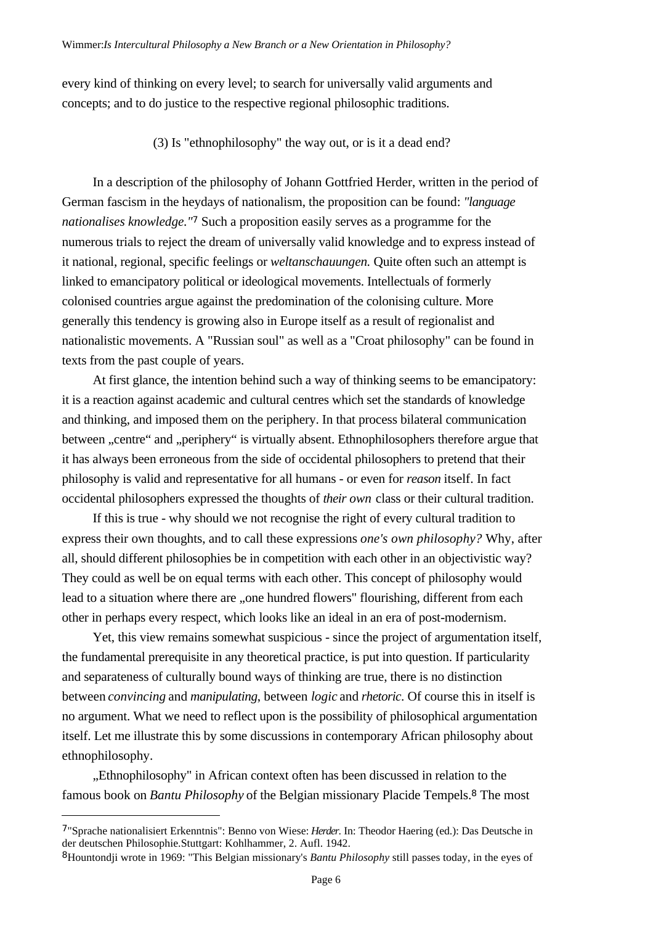every kind of thinking on every level; to search for universally valid arguments and concepts; and to do justice to the respective regional philosophic traditions.

(3) Is "ethnophilosophy" the way out, or is it a dead end?

In a description of the philosophy of Johann Gottfried Herder, written in the period of German fascism in the heydays of nationalism, the proposition can be found: *"language nationalises knowledge."*<sup>7</sup> Such a proposition easily serves as a programme for the numerous trials to reject the dream of universally valid knowledge and to express instead of it national, regional, specific feelings or *weltanschauungen.* Quite often such an attempt is linked to emancipatory political or ideological movements. Intellectuals of formerly colonised countries argue against the predomination of the colonising culture. More generally this tendency is growing also in Europe itself as a result of regionalist and nationalistic movements. A "Russian soul" as well as a "Croat philosophy" can be found in texts from the past couple of years.

At first glance, the intention behind such a way of thinking seems to be emancipatory: it is a reaction against academic and cultural centres which set the standards of knowledge and thinking, and imposed them on the periphery. In that process bilateral communication between ..centre" and ..periphery" is virtually absent. Ethnophilosophers therefore argue that it has always been erroneous from the side of occidental philosophers to pretend that their philosophy is valid and representative for all humans - or even for *reason* itself. In fact occidental philosophers expressed the thoughts of *their own* class or their cultural tradition.

If this is true - why should we not recognise the right of every cultural tradition to express their own thoughts, and to call these expressions *one's own philosophy?* Why, after all, should different philosophies be in competition with each other in an objectivistic way? They could as well be on equal terms with each other. This concept of philosophy would lead to a situation where there are "one hundred flowers" flourishing, different from each other in perhaps every respect, which looks like an ideal in an era of post-modernism.

Yet, this view remains somewhat suspicious - since the project of argumentation itself, the fundamental prerequisite in any theoretical practice, is put into question. If particularity and separateness of culturally bound ways of thinking are true, there is no distinction between *convincing* and *manipulating*, between *logic* and *rhetoric*. Of course this in itself is no argument. What we need to reflect upon is the possibility of philosophical argumentation itself. Let me illustrate this by some discussions in contemporary African philosophy about ethnophilosophy.

"Ethnophilosophy" in African context often has been discussed in relation to the famous book on *Bantu Philosophy* of the Belgian missionary Placide Tempels.<sup>8</sup> The most

<sup>7</sup>"Sprache nationalisiert Erkenntnis": Benno von Wiese: *Herder*. In: Theodor Haering (ed.): Das Deutsche in der deutschen Philosophie.Stuttgart: Kohlhammer, 2. Aufl. 1942.

<sup>8</sup>Hountondji wrote in 1969: "This Belgian missionary's *Bantu Philosophy* still passes today, in the eyes of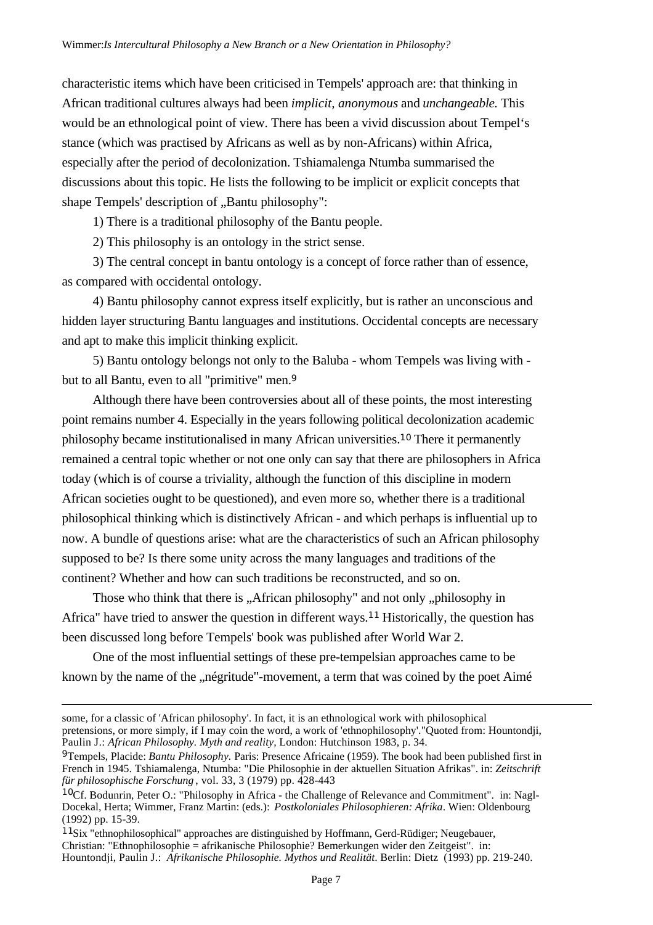characteristic items which have been criticised in Tempels' approach are: that thinking in African traditional cultures always had been *implicit, anonymous* and *unchangeable.* This would be an ethnological point of view. There has been a vivid discussion about Tempel's stance (which was practised by Africans as well as by non-Africans) within Africa, especially after the period of decolonization. Tshiamalenga Ntumba summarised the discussions about this topic. He lists the following to be implicit or explicit concepts that shape Tempels' description of "Bantu philosophy":

1) There is a traditional philosophy of the Bantu people.

2) This philosophy is an ontology in the strict sense.

3) The central concept in bantu ontology is a concept of force rather than of essence, as compared with occidental ontology.

4) Bantu philosophy cannot express itself explicitly, but is rather an unconscious and hidden layer structuring Bantu languages and institutions. Occidental concepts are necessary and apt to make this implicit thinking explicit.

5) Bantu ontology belongs not only to the Baluba - whom Tempels was living with but to all Bantu, even to all "primitive" men.<sup>9</sup>

Although there have been controversies about all of these points, the most interesting point remains number 4. Especially in the years following political decolonization academic philosophy became institutionalised in many African universities.<sup>10</sup> There it permanently remained a central topic whether or not one only can say that there are philosophers in Africa today (which is of course a triviality, although the function of this discipline in modern African societies ought to be questioned), and even more so, whether there is a traditional philosophical thinking which is distinctively African - and which perhaps is influential up to now. A bundle of questions arise: what are the characteristics of such an African philosophy supposed to be? Is there some unity across the many languages and traditions of the continent? Whether and how can such traditions be reconstructed, and so on.

Those who think that there is "African philosophy" and not only "philosophy in Africa" have tried to answer the question in different ways.<sup>11</sup> Historically, the question has been discussed long before Tempels' book was published after World War 2.

One of the most influential settings of these pre-tempelsian approaches came to be known by the name of the "négritude"-movement, a term that was coined by the poet Aimé

 $\overline{a}$ 

some, for a classic of 'African philosophy'. In fact, it is an ethnological work with philosophical pretensions, or more simply, if I may coin the word, a work of 'ethnophilosophy'."Quoted from: Hountondji, Paulin J.: *African Philosophy. Myth and reality,* London: Hutchinson 1983, p. 34.

<sup>9</sup>Tempels, Placide: *Bantu Philosophy.* Paris: Presence Africaine (1959). The book had been published first in French in 1945. Tshiamalenga, Ntumba: "Die Philosophie in der aktuellen Situation Afrikas". in: *Zeitschrift für philosophische Forschung* , vol. 33, 3 (1979) pp. 428-443

<sup>10</sup>Cf. Bodunrin, Peter O.: "Philosophy in Africa - the Challenge of Relevance and Commitment". in: Nagl-Docekal, Herta; Wimmer, Franz Martin: (eds.): *Postkoloniales Philosophieren: Afrika*. Wien: Oldenbourg (1992) pp. 15-39.

<sup>11</sup>Six "ethnophilosophical" approaches are distinguished by Hoffmann, Gerd-Rüdiger; Neugebauer, Christian: "Ethnophilosophie = afrikanische Philosophie? Bemerkungen wider den Zeitgeist". in: Hountondji, Paulin J.: *Afrikanische Philosophie. Mythos und Realität*. Berlin: Dietz (1993) pp. 219-240.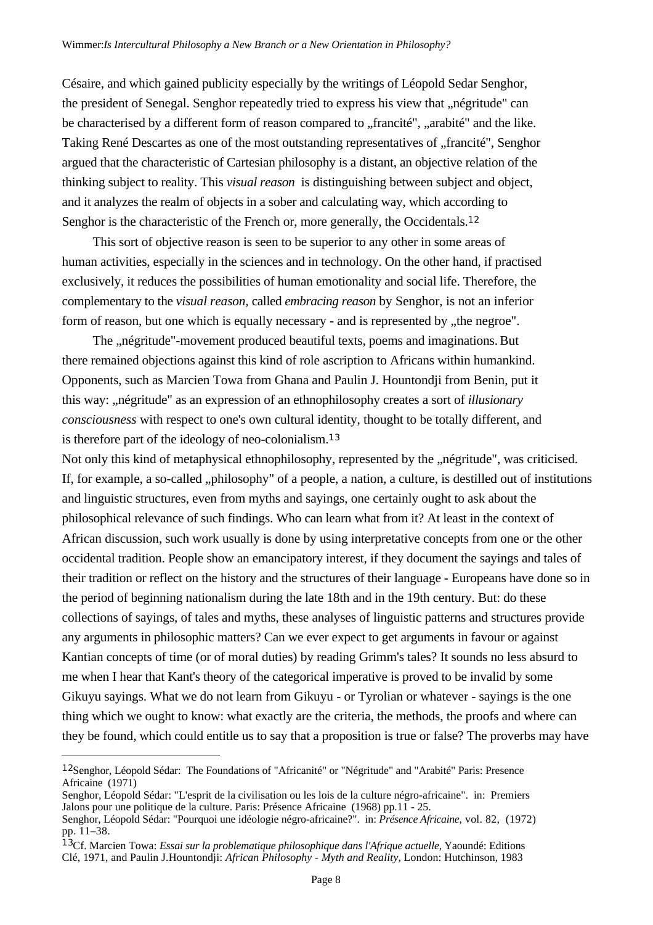Césaire, and which gained publicity especially by the writings of Léopold Sedar Senghor, the president of Senegal. Senghor repeatedly tried to express his view that "négritude" can be characterised by a different form of reason compared to "francité", "arabité" and the like. Taking René Descartes as one of the most outstanding representatives of "francité", Senghor argued that the characteristic of Cartesian philosophy is a distant, an objective relation of the thinking subject to reality. This *visual reason* is distinguishing between subject and object, and it analyzes the realm of objects in a sober and calculating way, which according to Senghor is the characteristic of the French or, more generally, the Occidentals.<sup>12</sup>

This sort of objective reason is seen to be superior to any other in some areas of human activities, especially in the sciences and in technology. On the other hand, if practised exclusively, it reduces the possibilities of human emotionality and social life. Therefore, the complementary to the *visual reason,* called *embracing reason* by Senghor, is not an inferior form of reason, but one which is equally necessary - and is represented by "the negroe".

The "négritude"-movement produced beautiful texts, poems and imaginations. But there remained objections against this kind of role ascription to Africans within humankind. Opponents, such as Marcien Towa from Ghana and Paulin J. Hountondji from Benin, put it this way: "négritude" as an expression of an ethnophilosophy creates a sort of *illusionary consciousness* with respect to one's own cultural identity, thought to be totally different, and is therefore part of the ideology of neo-colonialism.<sup>13</sup>

Not only this kind of metaphysical ethnophilosophy, represented by the "négritude", was criticised. If, for example, a so-called "philosophy" of a people, a nation, a culture, is destilled out of institutions and linguistic structures, even from myths and sayings, one certainly ought to ask about the philosophical relevance of such findings. Who can learn what from it? At least in the context of African discussion, such work usually is done by using interpretative concepts from one or the other occidental tradition. People show an emancipatory interest, if they document the sayings and tales of their tradition or reflect on the history and the structures of their language - Europeans have done so in the period of beginning nationalism during the late 18th and in the 19th century. But: do these collections of sayings, of tales and myths, these analyses of linguistic patterns and structures provide any arguments in philosophic matters? Can we ever expect to get arguments in favour or against Kantian concepts of time (or of moral duties) by reading Grimm's tales? It sounds no less absurd to me when I hear that Kant's theory of the categorical imperative is proved to be invalid by some Gikuyu sayings. What we do not learn from Gikuyu - or Tyrolian or whatever - sayings is the one thing which we ought to know: what exactly are the criteria, the methods, the proofs and where can they be found, which could entitle us to say that a proposition is true or false? The proverbs may have

 $\overline{a}$ 

<sup>12</sup>Senghor, Léopold Sédar: The Foundations of "Africanité" or "Négritude" and "Arabité" Paris: Presence Africaine (1971)

Senghor, Léopold Sédar: "L'esprit de la civilisation ou les lois de la culture négro-africaine". in: Premiers Jalons pour une politique de la culture. Paris: Présence Africaine (1968) pp.11 - 25. Senghor, Léopold Sédar: "Pourquoi une idéologie négro-africaine?". in: *Présence Africaine*, vol. 82, (1972)

pp. 11–38. <sup>13</sup>Cf. Marcien Towa: *Essai sur la problematique philosophique dans l'Afrique actuelle,* Yaoundé: Editions

Clé, 1971, and Paulin J.Hountondji: *African Philosophy - Myth and Reality,* London: Hutchinson, 1983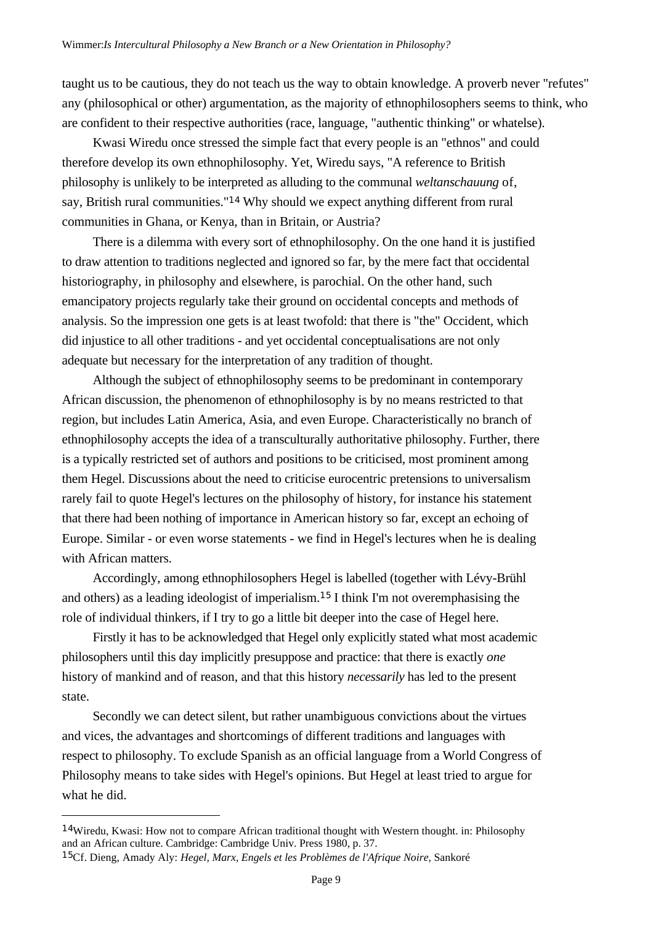taught us to be cautious, they do not teach us the way to obtain knowledge. A proverb never "refutes" any (philosophical or other) argumentation, as the majority of ethnophilosophers seems to think, who are confident to their respective authorities (race, language, "authentic thinking" or whatelse).

Kwasi Wiredu once stressed the simple fact that every people is an "ethnos" and could therefore develop its own ethnophilosophy. Yet, Wiredu says, "A reference to British philosophy is unlikely to be interpreted as alluding to the communal *weltanschauung* of, say, British rural communities."<sup>14</sup> Why should we expect anything different from rural communities in Ghana, or Kenya, than in Britain, or Austria?

There is a dilemma with every sort of ethnophilosophy. On the one hand it is justified to draw attention to traditions neglected and ignored so far, by the mere fact that occidental historiography, in philosophy and elsewhere, is parochial. On the other hand, such emancipatory projects regularly take their ground on occidental concepts and methods of analysis. So the impression one gets is at least twofold: that there is "the" Occident, which did injustice to all other traditions - and yet occidental conceptualisations are not only adequate but necessary for the interpretation of any tradition of thought.

Although the subject of ethnophilosophy seems to be predominant in contemporary African discussion, the phenomenon of ethnophilosophy is by no means restricted to that region, but includes Latin America, Asia, and even Europe. Characteristically no branch of ethnophilosophy accepts the idea of a transculturally authoritative philosophy. Further, there is a typically restricted set of authors and positions to be criticised, most prominent among them Hegel. Discussions about the need to criticise eurocentric pretensions to universalism rarely fail to quote Hegel's lectures on the philosophy of history, for instance his statement that there had been nothing of importance in American history so far, except an echoing of Europe. Similar - or even worse statements - we find in Hegel's lectures when he is dealing with African matters.

Accordingly, among ethnophilosophers Hegel is labelled (together with Lévy-Brühl and others) as a leading ideologist of imperialism.<sup>15</sup> I think I'm not overemphasising the role of individual thinkers, if I try to go a little bit deeper into the case of Hegel here.

Firstly it has to be acknowledged that Hegel only explicitly stated what most academic philosophers until this day implicitly presuppose and practice: that there is exactly *one* history of mankind and of reason, and that this history *necessarily* has led to the present state.

Secondly we can detect silent, but rather unambiguous convictions about the virtues and vices, the advantages and shortcomings of different traditions and languages with respect to philosophy. To exclude Spanish as an official language from a World Congress of Philosophy means to take sides with Hegel's opinions. But Hegel at least tried to argue for what he did.

<sup>14</sup>Wiredu, Kwasi: How not to compare African traditional thought with Western thought. in: Philosophy and an African culture. Cambridge: Cambridge Univ. Press 1980, p. 37. <sup>15</sup>Cf. Dieng, Amady Aly: *Hegel, Marx, Engels et les Problèmes de l'Afrique Noire,* Sankoré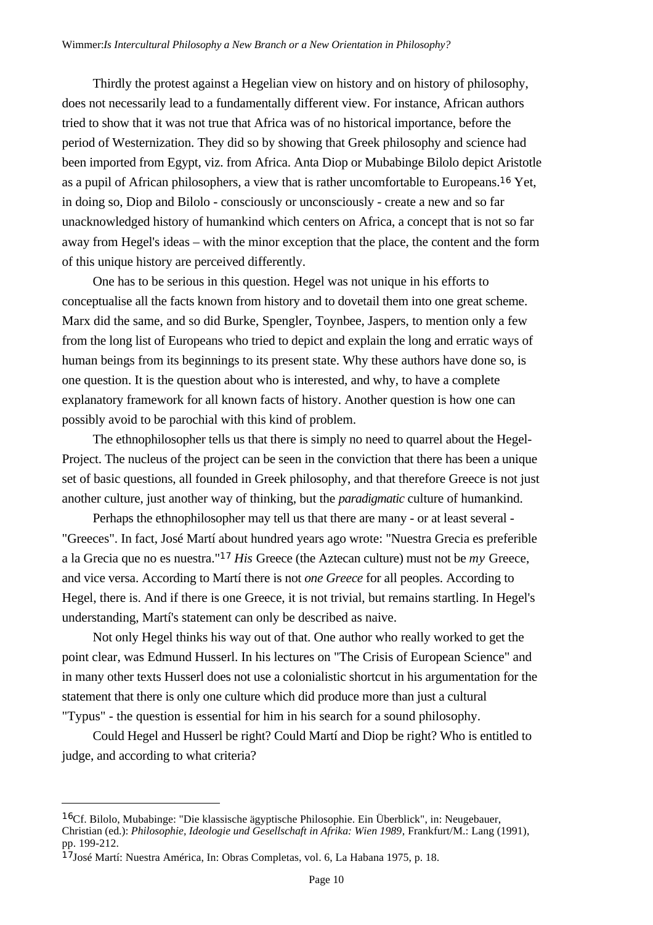Thirdly the protest against a Hegelian view on history and on history of philosophy, does not necessarily lead to a fundamentally different view. For instance, African authors tried to show that it was not true that Africa was of no historical importance, before the period of Westernization. They did so by showing that Greek philosophy and science had been imported from Egypt, viz. from Africa. Anta Diop or Mubabinge Bilolo depict Aristotle as a pupil of African philosophers, a view that is rather uncomfortable to Europeans.<sup>16</sup> Yet, in doing so, Diop and Bilolo - consciously or unconsciously - create a new and so far unacknowledged history of humankind which centers on Africa, a concept that is not so far away from Hegel's ideas – with the minor exception that the place, the content and the form of this unique history are perceived differently.

One has to be serious in this question. Hegel was not unique in his efforts to conceptualise all the facts known from history and to dovetail them into one great scheme. Marx did the same, and so did Burke, Spengler, Toynbee, Jaspers, to mention only a few from the long list of Europeans who tried to depict and explain the long and erratic ways of human beings from its beginnings to its present state. Why these authors have done so, is one question. It is the question about who is interested, and why, to have a complete explanatory framework for all known facts of history. Another question is how one can possibly avoid to be parochial with this kind of problem.

The ethnophilosopher tells us that there is simply no need to quarrel about the Hegel-Project. The nucleus of the project can be seen in the conviction that there has been a unique set of basic questions, all founded in Greek philosophy, and that therefore Greece is not just another culture, just another way of thinking, but the *paradigmatic* culture of humankind.

Perhaps the ethnophilosopher may tell us that there are many - or at least several - "Greeces". In fact, José Martí about hundred years ago wrote: "Nuestra Grecia es preferible a la Grecia que no es nuestra."<sup>17</sup> *His* Greece (the Aztecan culture) must not be *my* Greece, and vice versa. According to Martí there is not *one Greece* for all peoples. According to Hegel, there is. And if there is one Greece, it is not trivial, but remains startling. In Hegel's understanding, Martí's statement can only be described as naive.

Not only Hegel thinks his way out of that. One author who really worked to get the point clear, was Edmund Husserl. In his lectures on "The Crisis of European Science" and in many other texts Husserl does not use a colonialistic shortcut in his argumentation for the statement that there is only one culture which did produce more than just a cultural "Typus" - the question is essential for him in his search for a sound philosophy.

Could Hegel and Husserl be right? Could Martí and Diop be right? Who is entitled to judge, and according to what criteria?

 $\overline{a}$ 

<sup>16</sup>Cf. Bilolo, Mubabinge: "Die klassische ägyptische Philosophie. Ein Überblick", in: Neugebauer, Christian (ed.): *Philosophie, Ideologie und Gesellschaft in Afrika: Wien 1989*, Frankfurt/M.: Lang (1991), pp. 199-212.

<sup>17</sup>José Martí: Nuestra América, In: Obras Completas, vol. 6, La Habana 1975, p. 18.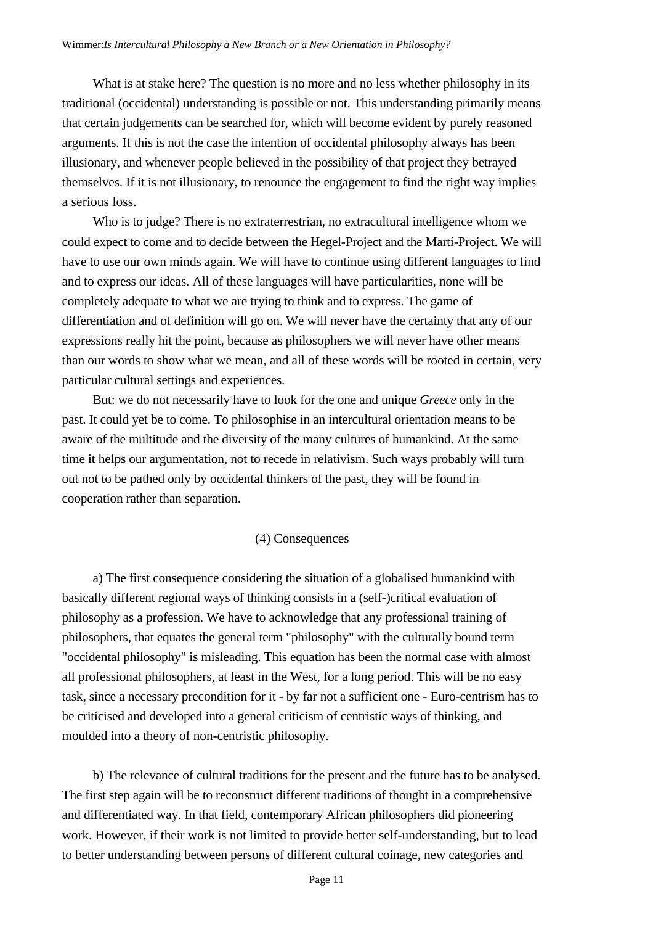What is at stake here? The question is no more and no less whether philosophy in its traditional (occidental) understanding is possible or not. This understanding primarily means that certain judgements can be searched for, which will become evident by purely reasoned arguments. If this is not the case the intention of occidental philosophy always has been illusionary, and whenever people believed in the possibility of that project they betrayed themselves. If it is not illusionary, to renounce the engagement to find the right way implies a serious loss.

Who is to judge? There is no extraterrestrian, no extracultural intelligence whom we could expect to come and to decide between the Hegel-Project and the Martí-Project. We will have to use our own minds again. We will have to continue using different languages to find and to express our ideas. All of these languages will have particularities, none will be completely adequate to what we are trying to think and to express. The game of differentiation and of definition will go on. We will never have the certainty that any of our expressions really hit the point, because as philosophers we will never have other means than our words to show what we mean, and all of these words will be rooted in certain, very particular cultural settings and experiences.

But: we do not necessarily have to look for the one and unique *Greece* only in the past. It could yet be to come. To philosophise in an intercultural orientation means to be aware of the multitude and the diversity of the many cultures of humankind. At the same time it helps our argumentation, not to recede in relativism. Such ways probably will turn out not to be pathed only by occidental thinkers of the past, they will be found in cooperation rather than separation.

#### (4) Consequences

a) The first consequence considering the situation of a globalised humankind with basically different regional ways of thinking consists in a (self-)critical evaluation of philosophy as a profession. We have to acknowledge that any professional training of philosophers, that equates the general term "philosophy" with the culturally bound term "occidental philosophy" is misleading. This equation has been the normal case with almost all professional philosophers, at least in the West, for a long period. This will be no easy task, since a necessary precondition for it - by far not a sufficient one - Euro-centrism has to be criticised and developed into a general criticism of centristic ways of thinking, and moulded into a theory of non-centristic philosophy.

b) The relevance of cultural traditions for the present and the future has to be analysed. The first step again will be to reconstruct different traditions of thought in a comprehensive and differentiated way. In that field, contemporary African philosophers did pioneering work. However, if their work is not limited to provide better self-understanding, but to lead to better understanding between persons of different cultural coinage, new categories and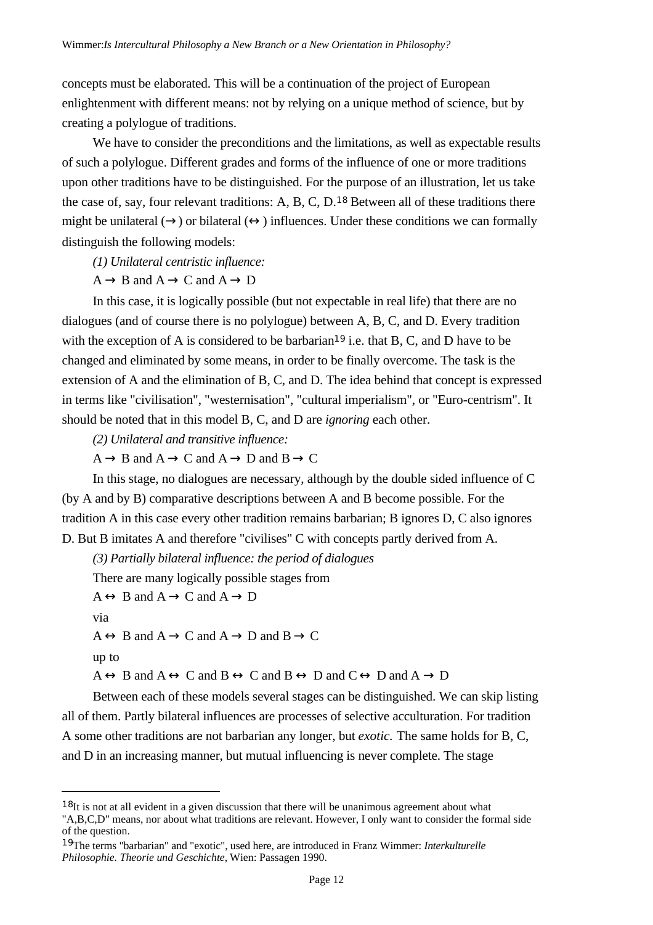concepts must be elaborated. This will be a continuation of the project of European enlightenment with different means: not by relying on a unique method of science, but by creating a polylogue of traditions.

We have to consider the preconditions and the limitations, as well as expectable results of such a polylogue. Different grades and forms of the influence of one or more traditions upon other traditions have to be distinguished. For the purpose of an illustration, let us take the case of, say, four relevant traditions: A, B, C, D.<sup>18</sup> Between all of these traditions there might be unilateral () or bilateral () influences. Under these conditions we can formally distinguish the following models:

*(1) Unilateral centristic influence:*

A B and A C and A D

In this case, it is logically possible (but not expectable in real life) that there are no dialogues (and of course there is no polylogue) between A, B, C, and D. Every tradition with the exception of A is considered to be barbarian<sup>19</sup> i.e. that B, C, and D have to be changed and eliminated by some means, in order to be finally overcome. The task is the extension of A and the elimination of B, C, and D. The idea behind that concept is expressed in terms like "civilisation", "westernisation", "cultural imperialism", or "Euro-centrism". It should be noted that in this model B, C, and D are *ignoring* each other.

*(2) Unilateral and transitive influence:*

A B and A C and A D and B C

In this stage, no dialogues are necessary, although by the double sided influence of C (by A and by B) comparative descriptions between A and B become possible. For the tradition A in this case every other tradition remains barbarian; B ignores D, C also ignores D. But B imitates A and therefore "civilises" C with concepts partly derived from A.

*(3) Partially bilateral influence: the period of dialogues*

There are many logically possible stages from

 $\overline{a}$ 

A B and A C and A D via A B and A C and A D and B C up to A B and A C and B C and B D and C D and A D

Between each of these models several stages can be distinguished. We can skip listing all of them. Partly bilateral influences are processes of selective acculturation. For tradition A some other traditions are not barbarian any longer, but *exotic.* The same holds for B, C, and D in an increasing manner, but mutual influencing is never complete. The stage

<sup>&</sup>lt;sup>18</sup>It is not at all evident in a given discussion that there will be unanimous agreement about what "A,B,C,D" means, nor about what traditions are relevant. However, I only want to consider the formal side of the question.

<sup>19</sup>The terms "barbarian" and "exotic", used here, are introduced in Franz Wimmer: *Interkulturelle Philosophie. Theorie und Geschichte,* Wien: Passagen 1990.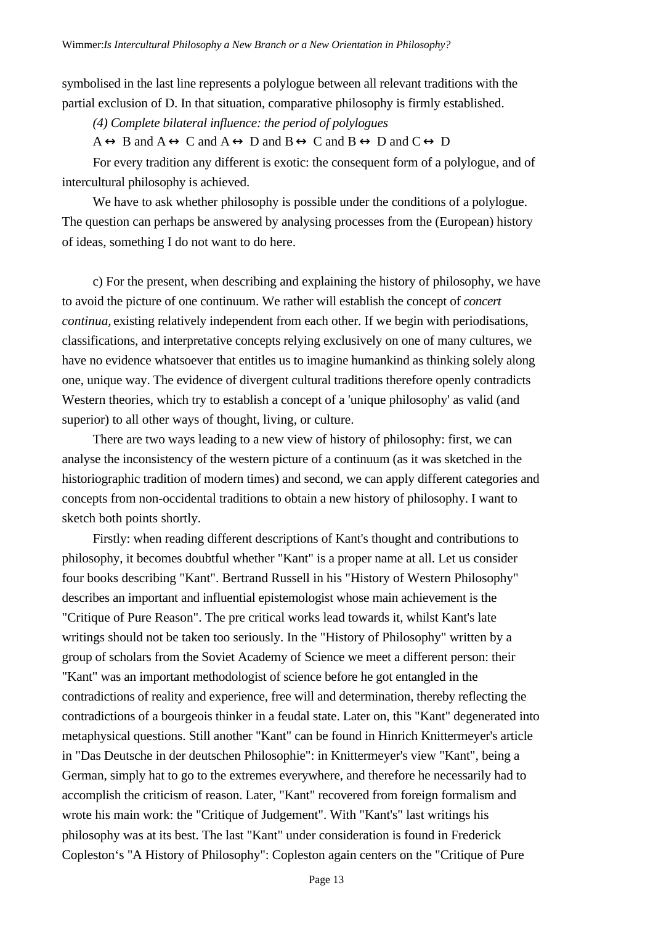symbolised in the last line represents a polylogue between all relevant traditions with the partial exclusion of D. In that situation, comparative philosophy is firmly established.

*(4) Complete bilateral influence: the period of polylogues*

A B and A C and A D and B C and B D and C D

For every tradition any different is exotic: the consequent form of a polylogue, and of intercultural philosophy is achieved.

We have to ask whether philosophy is possible under the conditions of a polylogue. The question can perhaps be answered by analysing processes from the (European) history of ideas, something I do not want to do here.

c) For the present, when describing and explaining the history of philosophy, we have to avoid the picture of one continuum. We rather will establish the concept of *concert continua,* existing relatively independent from each other. If we begin with periodisations, classifications, and interpretative concepts relying exclusively on one of many cultures, we have no evidence whatsoever that entitles us to imagine humankind as thinking solely along one, unique way. The evidence of divergent cultural traditions therefore openly contradicts Western theories, which try to establish a concept of a 'unique philosophy' as valid (and superior) to all other ways of thought, living, or culture.

There are two ways leading to a new view of history of philosophy: first, we can analyse the inconsistency of the western picture of a continuum (as it was sketched in the historiographic tradition of modern times) and second, we can apply different categories and concepts from non-occidental traditions to obtain a new history of philosophy. I want to sketch both points shortly.

Firstly: when reading different descriptions of Kant's thought and contributions to philosophy, it becomes doubtful whether "Kant" is a proper name at all. Let us consider four books describing "Kant". Bertrand Russell in his "History of Western Philosophy" describes an important and influential epistemologist whose main achievement is the "Critique of Pure Reason". The pre critical works lead towards it, whilst Kant's late writings should not be taken too seriously. In the "History of Philosophy" written by a group of scholars from the Soviet Academy of Science we meet a different person: their "Kant" was an important methodologist of science before he got entangled in the contradictions of reality and experience, free will and determination, thereby reflecting the contradictions of a bourgeois thinker in a feudal state. Later on, this "Kant" degenerated into metaphysical questions. Still another "Kant" can be found in Hinrich Knittermeyer's article in "Das Deutsche in der deutschen Philosophie": in Knittermeyer's view "Kant", being a German, simply hat to go to the extremes everywhere, and therefore he necessarily had to accomplish the criticism of reason. Later, "Kant" recovered from foreign formalism and wrote his main work: the "Critique of Judgement". With "Kant's" last writings his philosophy was at its best. The last "Kant" under consideration is found in Frederick Copleston's "A History of Philosophy": Copleston again centers on the "Critique of Pure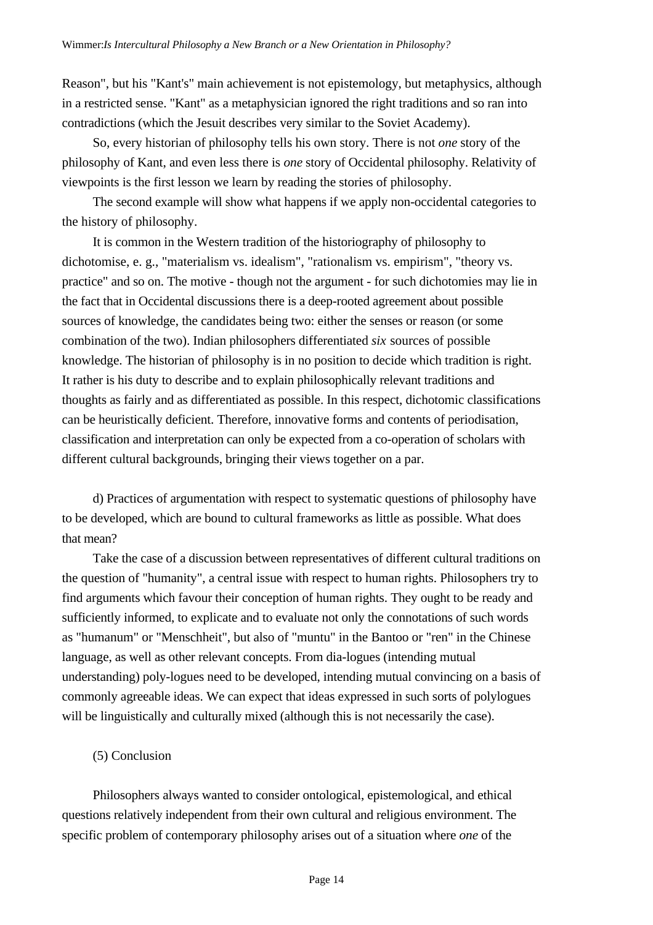Reason", but his "Kant's" main achievement is not epistemology, but metaphysics, although in a restricted sense. "Kant" as a metaphysician ignored the right traditions and so ran into contradictions (which the Jesuit describes very similar to the Soviet Academy).

So, every historian of philosophy tells his own story. There is not *one* story of the philosophy of Kant, and even less there is *one* story of Occidental philosophy. Relativity of viewpoints is the first lesson we learn by reading the stories of philosophy.

The second example will show what happens if we apply non-occidental categories to the history of philosophy.

It is common in the Western tradition of the historiography of philosophy to dichotomise, e. g., "materialism vs. idealism", "rationalism vs. empirism", "theory vs. practice" and so on. The motive - though not the argument - for such dichotomies may lie in the fact that in Occidental discussions there is a deep-rooted agreement about possible sources of knowledge, the candidates being two: either the senses or reason (or some combination of the two). Indian philosophers differentiated *six* sources of possible knowledge. The historian of philosophy is in no position to decide which tradition is right. It rather is his duty to describe and to explain philosophically relevant traditions and thoughts as fairly and as differentiated as possible. In this respect, dichotomic classifications can be heuristically deficient. Therefore, innovative forms and contents of periodisation, classification and interpretation can only be expected from a co-operation of scholars with different cultural backgrounds, bringing their views together on a par.

d) Practices of argumentation with respect to systematic questions of philosophy have to be developed, which are bound to cultural frameworks as little as possible. What does that mean?

Take the case of a discussion between representatives of different cultural traditions on the question of "humanity", a central issue with respect to human rights. Philosophers try to find arguments which favour their conception of human rights. They ought to be ready and sufficiently informed, to explicate and to evaluate not only the connotations of such words as "humanum" or "Menschheit", but also of "muntu" in the Bantoo or "ren" in the Chinese language, as well as other relevant concepts. From dia-logues (intending mutual understanding) poly-logues need to be developed, intending mutual convincing on a basis of commonly agreeable ideas. We can expect that ideas expressed in such sorts of polylogues will be linguistically and culturally mixed (although this is not necessarily the case).

### (5) Conclusion

Philosophers always wanted to consider ontological, epistemological, and ethical questions relatively independent from their own cultural and religious environment. The specific problem of contemporary philosophy arises out of a situation where *one* of the